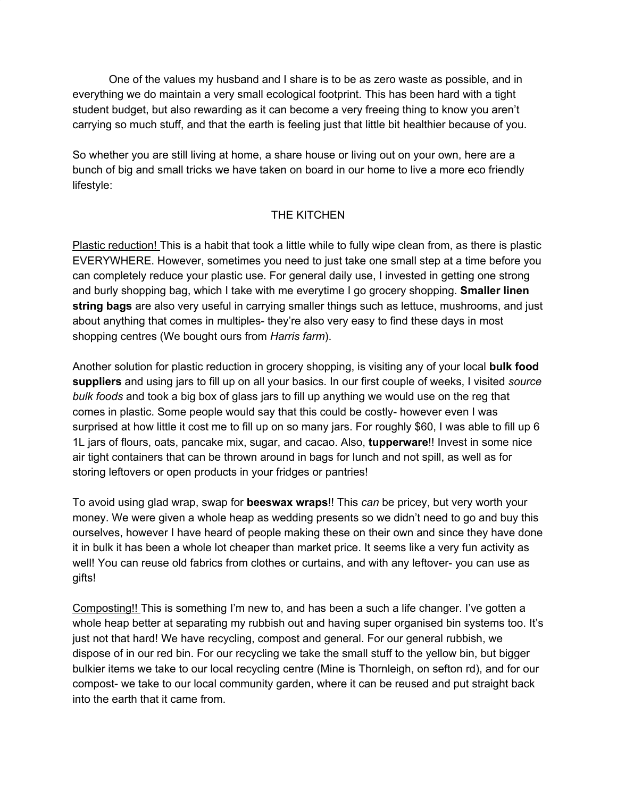One of the values my husband and I share is to be as zero waste as possible, and in everything we do maintain a very small ecological footprint. This has been hard with a tight student budget, but also rewarding as it can become a very freeing thing to know you aren't carrying so much stuff, and that the earth is feeling just that little bit healthier because of you.

So whether you are still living at home, a share house or living out on your own, here are a bunch of big and small tricks we have taken on board in our home to live a more eco friendly lifestyle:

## THE KITCHEN

Plastic reduction! This is a habit that took a little while to fully wipe clean from, as there is plastic EVERYWHERE. However, sometimes you need to just take one small step at a time before you can completely reduce your plastic use. For general daily use, I invested in getting one strong and burly shopping bag, which I take with me everytime I go grocery shopping. **Smaller linen string bags** are also very useful in carrying smaller things such as lettuce, mushrooms, and just about anything that comes in multiples- they're also very easy to find these days in most shopping centres (We bought ours from *Harris farm*).

Another solution for plastic reduction in grocery shopping, is visiting any of your local **bulk food suppliers** and using jars to fill up on all your basics. In our first couple of weeks, I visited *source bulk foods* and took a big box of glass jars to fill up anything we would use on the reg that comes in plastic. Some people would say that this could be costly- however even I was surprised at how little it cost me to fill up on so many jars. For roughly \$60, I was able to fill up 6 1L jars of flours, oats, pancake mix, sugar, and cacao. Also, **tupperware**!! Invest in some nice air tight containers that can be thrown around in bags for lunch and not spill, as well as for storing leftovers or open products in your fridges or pantries!

To avoid using glad wrap, swap for **beeswax wraps**!! This *can* be pricey, but very worth your money. We were given a whole heap as wedding presents so we didn't need to go and buy this ourselves, however I have heard of people making these on their own and since they have done it in bulk it has been a whole lot cheaper than market price. It seems like a very fun activity as well! You can reuse old fabrics from clothes or curtains, and with any leftover- you can use as gifts!

Composting!! This is something I'm new to, and has been a such a life changer. I've gotten a whole heap better at separating my rubbish out and having super organised bin systems too. It's just not that hard! We have recycling, compost and general. For our general rubbish, we dispose of in our red bin. For our recycling we take the small stuff to the yellow bin, but bigger bulkier items we take to our local recycling centre (Mine is Thornleigh, on sefton rd), and for our compost- we take to our local community garden, where it can be reused and put straight back into the earth that it came from.